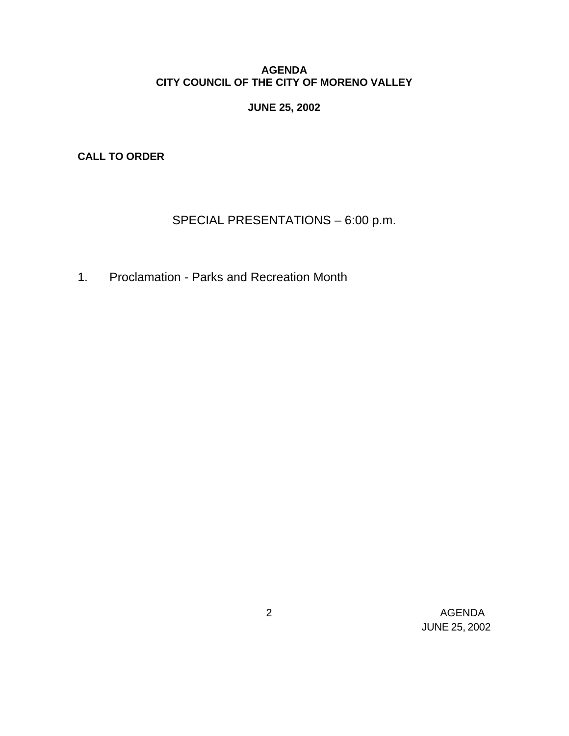# **AGENDA CITY COUNCIL OF THE CITY OF MORENO VALLEY**

# **JUNE 25, 2002**

**CALL TO ORDER**

# SPECIAL PRESENTATIONS – 6:00 p.m.

1. Proclamation - Parks and Recreation Month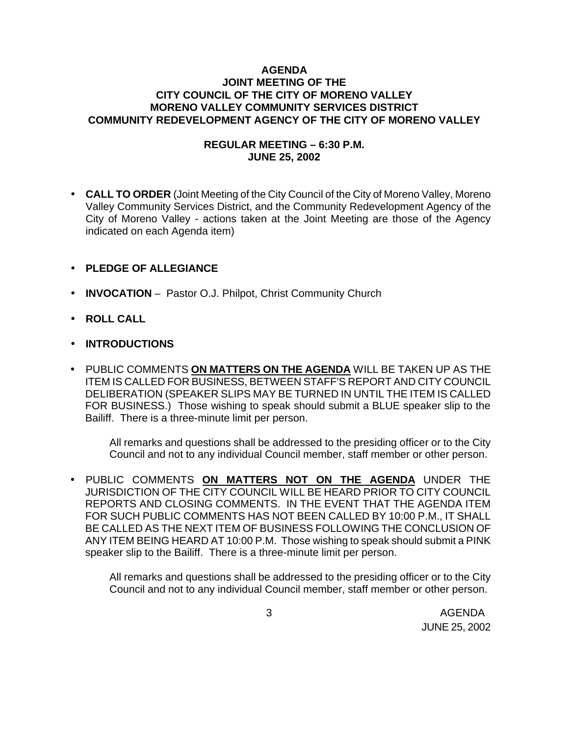# **AGENDA JOINT MEETING OF THE CITY COUNCIL OF THE CITY OF MORENO VALLEY MORENO VALLEY COMMUNITY SERVICES DISTRICT COMMUNITY REDEVELOPMENT AGENCY OF THE CITY OF MORENO VALLEY**

# **REGULAR MEETING – 6:30 P.M. JUNE 25, 2002**

• **CALL TO ORDER** (Joint Meeting of the City Council of the City of Moreno Valley, Moreno Valley Community Services District, and the Community Redevelopment Agency of the City of Moreno Valley - actions taken at the Joint Meeting are those of the Agency indicated on each Agenda item)

# • **PLEDGE OF ALLEGIANCE**

- **INVOCATION** Pastor O.J. Philpot, Christ Community Church
- **ROLL CALL**
- **INTRODUCTIONS**
- PUBLIC COMMENTS **ON MATTERS ON THE AGENDA** WILL BE TAKEN UP AS THE ITEM IS CALLED FOR BUSINESS, BETWEEN STAFF'S REPORT AND CITY COUNCIL DELIBERATION (SPEAKER SLIPS MAY BE TURNED IN UNTIL THE ITEM IS CALLED FOR BUSINESS.) Those wishing to speak should submit a BLUE speaker slip to the Bailiff. There is a three-minute limit per person.

All remarks and questions shall be addressed to the presiding officer or to the City Council and not to any individual Council member, staff member or other person.

• PUBLIC COMMENTS **ON MATTERS NOT ON THE AGENDA** UNDER THE JURISDICTION OF THE CITY COUNCIL WILL BE HEARD PRIOR TO CITY COUNCIL REPORTS AND CLOSING COMMENTS. IN THE EVENT THAT THE AGENDA ITEM FOR SUCH PUBLIC COMMENTS HAS NOT BEEN CALLED BY 10:00 P.M., IT SHALL BE CALLED AS THE NEXT ITEM OF BUSINESS FOLLOWING THE CONCLUSION OF ANY ITEM BEING HEARD AT 10:00 P.M. Those wishing to speak should submit a PINK speaker slip to the Bailiff. There is a three-minute limit per person.

All remarks and questions shall be addressed to the presiding officer or to the City Council and not to any individual Council member, staff member or other person.

 3 AGENDA JUNE 25, 2002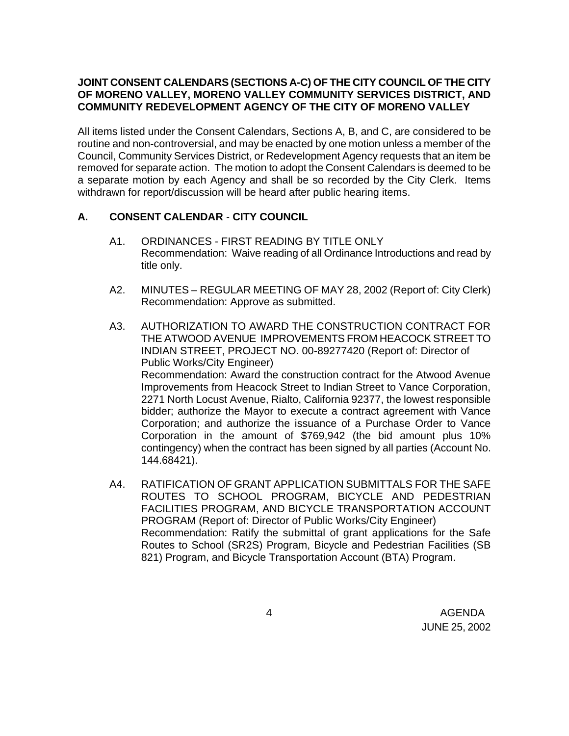# **JOINT CONSENT CALENDARS (SECTIONS A-C) OF THE CITY COUNCIL OF THE CITY OF MORENO VALLEY, MORENO VALLEY COMMUNITY SERVICES DISTRICT, AND COMMUNITY REDEVELOPMENT AGENCY OF THE CITY OF MORENO VALLEY**

All items listed under the Consent Calendars, Sections A, B, and C, are considered to be routine and non-controversial, and may be enacted by one motion unless a member of the Council, Community Services District, or Redevelopment Agency requests that an item be removed for separate action. The motion to adopt the Consent Calendars is deemed to be a separate motion by each Agency and shall be so recorded by the City Clerk. Items withdrawn for report/discussion will be heard after public hearing items.

# **A. CONSENT CALENDAR** - **CITY COUNCIL**

- A1. ORDINANCES FIRST READING BY TITLE ONLY Recommendation: Waive reading of all Ordinance Introductions and read by title only.
- A2. MINUTES REGULAR MEETING OF MAY 28, 2002 (Report of: City Clerk) Recommendation: Approve as submitted.
- A3. AUTHORIZATION TO AWARD THE CONSTRUCTION CONTRACT FOR THE ATWOOD AVENUE IMPROVEMENTS FROM HEACOCK STREET TO INDIAN STREET, PROJECT NO. 00-89277420 (Report of: Director of Public Works/City Engineer) Recommendation: Award the construction contract for the Atwood Avenue Improvements from Heacock Street to Indian Street to Vance Corporation, 2271 North Locust Avenue, Rialto, California 92377, the lowest responsible bidder; authorize the Mayor to execute a contract agreement with Vance Corporation; and authorize the issuance of a Purchase Order to Vance Corporation in the amount of \$769,942 (the bid amount plus 10% contingency) when the contract has been signed by all parties (Account No. 144.68421).
- A4. RATIFICATION OF GRANT APPLICATION SUBMITTALS FOR THE SAFE ROUTES TO SCHOOL PROGRAM, BICYCLE AND PEDESTRIAN FACILITIES PROGRAM, AND BICYCLE TRANSPORTATION ACCOUNT PROGRAM (Report of: Director of Public Works/City Engineer) Recommendation: Ratify the submittal of grant applications for the Safe Routes to School (SR2S) Program, Bicycle and Pedestrian Facilities (SB 821) Program, and Bicycle Transportation Account (BTA) Program.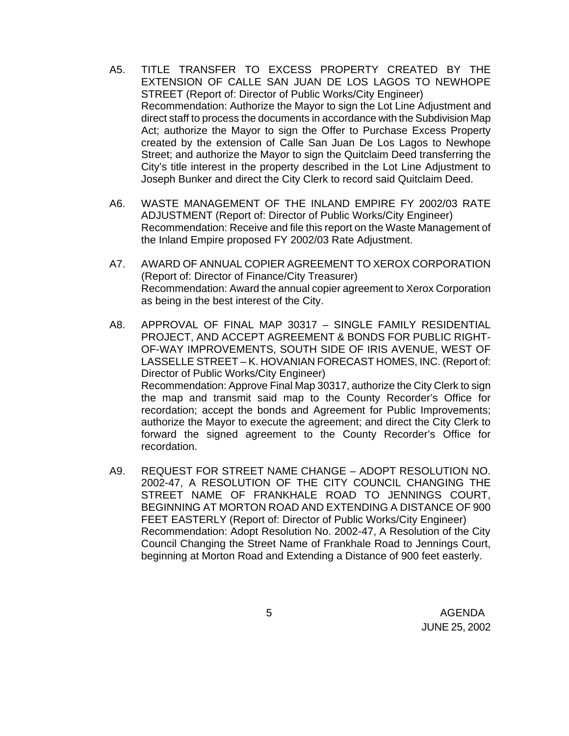- A5. TITLE TRANSFER TO EXCESS PROPERTY CREATED BY THE EXTENSION OF CALLE SAN JUAN DE LOS LAGOS TO NEWHOPE STREET (Report of: Director of Public Works/City Engineer) Recommendation: Authorize the Mayor to sign the Lot Line Adjustment and direct staff to process the documents in accordance with the Subdivision Map Act; authorize the Mayor to sign the Offer to Purchase Excess Property created by the extension of Calle San Juan De Los Lagos to Newhope Street; and authorize the Mayor to sign the Quitclaim Deed transferring the City's title interest in the property described in the Lot Line Adjustment to Joseph Bunker and direct the City Clerk to record said Quitclaim Deed.
- A6. WASTE MANAGEMENT OF THE INLAND EMPIRE FY 2002/03 RATE ADJUSTMENT (Report of: Director of Public Works/City Engineer) Recommendation: Receive and file this report on the Waste Management of the Inland Empire proposed FY 2002/03 Rate Adjustment.
- A7. AWARD OF ANNUAL COPIER AGREEMENT TO XEROX CORPORATION (Report of: Director of Finance/City Treasurer) Recommendation: Award the annual copier agreement to Xerox Corporation as being in the best interest of the City.
- A8. APPROVAL OF FINAL MAP 30317 SINGLE FAMILY RESIDENTIAL PROJECT, AND ACCEPT AGREEMENT & BONDS FOR PUBLIC RIGHT-OF-WAY IMPROVEMENTS, SOUTH SIDE OF IRIS AVENUE, WEST OF LASSELLE STREET – K. HOVANIAN FORECAST HOMES, INC. (Report of: Director of Public Works/City Engineer) Recommendation: Approve Final Map 30317, authorize the City Clerk to sign the map and transmit said map to the County Recorder's Office for recordation; accept the bonds and Agreement for Public Improvements; authorize the Mayor to execute the agreement; and direct the City Clerk to forward the signed agreement to the County Recorder's Office for recordation.
- A9. REQUEST FOR STREET NAME CHANGE ADOPT RESOLUTION NO. 2002-47, A RESOLUTION OF THE CITY COUNCIL CHANGING THE STREET NAME OF FRANKHALE ROAD TO JENNINGS COURT, BEGINNING AT MORTON ROAD AND EXTENDING A DISTANCE OF 900 FEET EASTERLY (Report of: Director of Public Works/City Engineer) Recommendation: Adopt Resolution No. 2002-47, A Resolution of the City Council Changing the Street Name of Frankhale Road to Jennings Court, beginning at Morton Road and Extending a Distance of 900 feet easterly.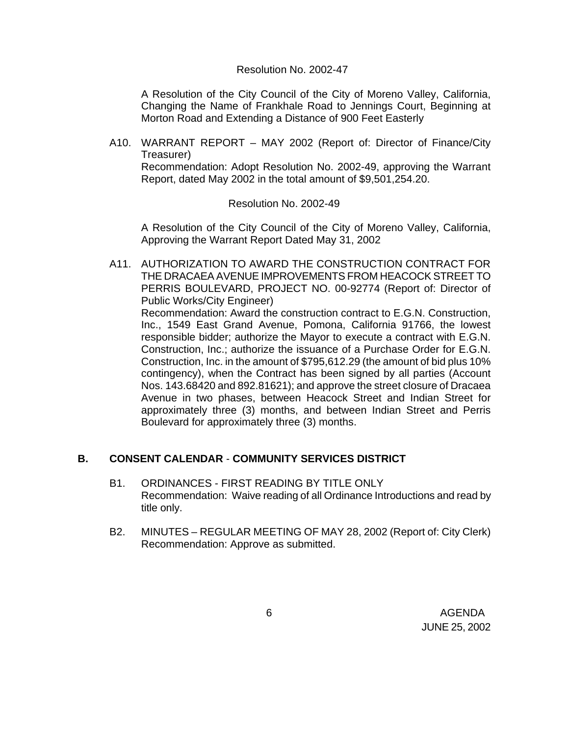#### Resolution No. 2002-47

A Resolution of the City Council of the City of Moreno Valley, California, Changing the Name of Frankhale Road to Jennings Court, Beginning at Morton Road and Extending a Distance of 900 Feet Easterly

A10. WARRANT REPORT – MAY 2002 (Report of: Director of Finance/City Treasurer) Recommendation: Adopt Resolution No. 2002-49, approving the Warrant

Report, dated May 2002 in the total amount of \$9,501,254.20.

#### Resolution No. 2002-49

A Resolution of the City Council of the City of Moreno Valley, California, Approving the Warrant Report Dated May 31, 2002

A11. AUTHORIZATION TO AWARD THE CONSTRUCTION CONTRACT FOR THE DRACAEA AVENUE IMPROVEMENTS FROM HEACOCK STREET TO PERRIS BOULEVARD, PROJECT NO. 00-92774 (Report of: Director of Public Works/City Engineer)

Recommendation: Award the construction contract to E.G.N. Construction, Inc., 1549 East Grand Avenue, Pomona, California 91766, the lowest responsible bidder; authorize the Mayor to execute a contract with E.G.N. Construction, Inc.; authorize the issuance of a Purchase Order for E.G.N. Construction, Inc. in the amount of \$795,612.29 (the amount of bid plus 10% contingency), when the Contract has been signed by all parties (Account Nos. 143.68420 and 892.81621); and approve the street closure of Dracaea Avenue in two phases, between Heacock Street and Indian Street for approximately three (3) months, and between Indian Street and Perris Boulevard for approximately three (3) months.

# **B. CONSENT CALENDAR** - **COMMUNITY SERVICES DISTRICT**

- B1. ORDINANCES FIRST READING BY TITLE ONLY Recommendation: Waive reading of all Ordinance Introductions and read by title only.
- B2. MINUTES REGULAR MEETING OF MAY 28, 2002 (Report of: City Clerk) Recommendation: Approve as submitted.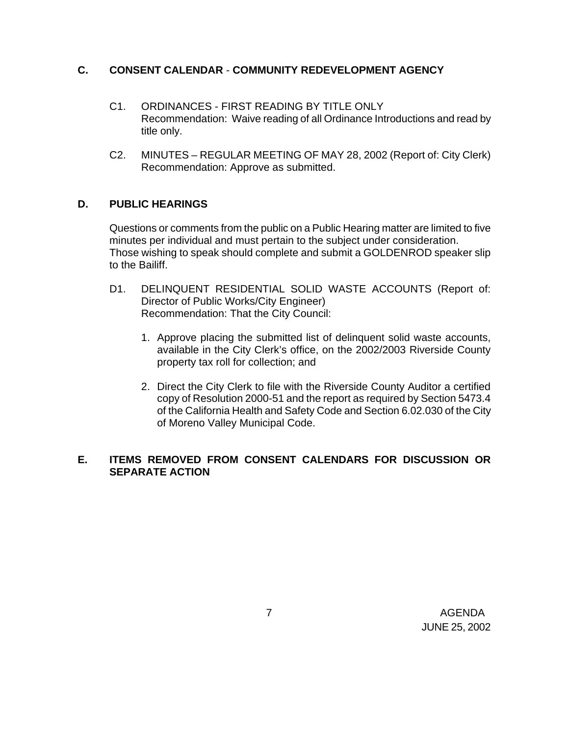# **C. CONSENT CALENDAR** - **COMMUNITY REDEVELOPMENT AGENCY**

- C1. ORDINANCES FIRST READING BY TITLE ONLY Recommendation: Waive reading of all Ordinance Introductions and read by title only.
- C2. MINUTES REGULAR MEETING OF MAY 28, 2002 (Report of: City Clerk) Recommendation: Approve as submitted.

# **D. PUBLIC HEARINGS**

Questions or comments from the public on a Public Hearing matter are limited to five minutes per individual and must pertain to the subject under consideration. Those wishing to speak should complete and submit a GOLDENROD speaker slip to the Bailiff.

- D1. DELINQUENT RESIDENTIAL SOLID WASTE ACCOUNTS (Report of: Director of Public Works/City Engineer) Recommendation: That the City Council:
	- 1. Approve placing the submitted list of delinquent solid waste accounts, available in the City Clerk's office, on the 2002/2003 Riverside County property tax roll for collection; and
	- 2. Direct the City Clerk to file with the Riverside County Auditor a certified copy of Resolution 2000-51 and the report as required by Section 5473.4 of the California Health and Safety Code and Section 6.02.030 of the City of Moreno Valley Municipal Code.

# **E. ITEMS REMOVED FROM CONSENT CALENDARS FOR DISCUSSION OR SEPARATE ACTION**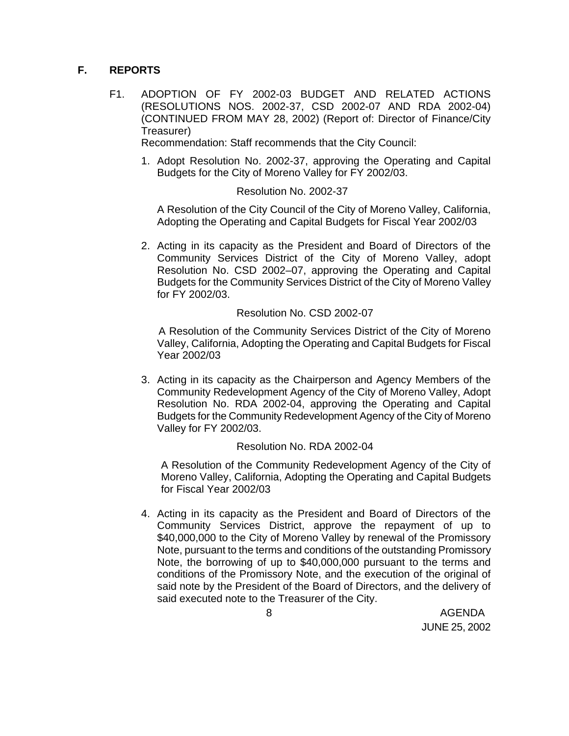# **F. REPORTS**

F1. ADOPTION OF FY 2002-03 BUDGET AND RELATED ACTIONS (RESOLUTIONS NOS. 2002-37, CSD 2002-07 AND RDA 2002-04) (CONTINUED FROM MAY 28, 2002) (Report of: Director of Finance/City Treasurer)

Recommendation: Staff recommends that the City Council:

1. Adopt Resolution No. 2002-37, approving the Operating and Capital Budgets for the City of Moreno Valley for FY 2002/03.

# Resolution No. 2002-37

A Resolution of the City Council of the City of Moreno Valley, California, Adopting the Operating and Capital Budgets for Fiscal Year 2002/03

2. Acting in its capacity as the President and Board of Directors of the Community Services District of the City of Moreno Valley, adopt Resolution No. CSD 2002–07, approving the Operating and Capital Budgets for the Community Services District of the City of Moreno Valley for FY 2002/03.

#### Resolution No. CSD 2002-07

 A Resolution of the Community Services District of the City of Moreno Valley, California, Adopting the Operating and Capital Budgets for Fiscal Year 2002/03

3. Acting in its capacity as the Chairperson and Agency Members of the Community Redevelopment Agency of the City of Moreno Valley, Adopt Resolution No. RDA 2002-04, approving the Operating and Capital Budgets for the Community Redevelopment Agency of the City of Moreno Valley for FY 2002/03.

#### Resolution No. RDA 2002-04

A Resolution of the Community Redevelopment Agency of the City of Moreno Valley, California, Adopting the Operating and Capital Budgets for Fiscal Year 2002/03

4. Acting in its capacity as the President and Board of Directors of the Community Services District, approve the repayment of up to \$40,000,000 to the City of Moreno Valley by renewal of the Promissory Note, pursuant to the terms and conditions of the outstanding Promissory Note, the borrowing of up to \$40,000,000 pursuant to the terms and conditions of the Promissory Note, and the execution of the original of said note by the President of the Board of Directors, and the delivery of said executed note to the Treasurer of the City.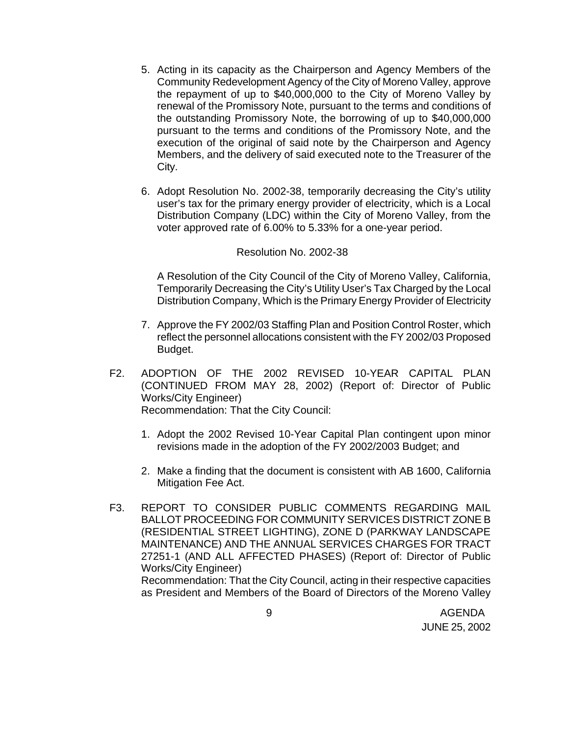- 5. Acting in its capacity as the Chairperson and Agency Members of the Community Redevelopment Agency of the City of Moreno Valley, approve the repayment of up to \$40,000,000 to the City of Moreno Valley by renewal of the Promissory Note, pursuant to the terms and conditions of the outstanding Promissory Note, the borrowing of up to \$40,000,000 pursuant to the terms and conditions of the Promissory Note, and the execution of the original of said note by the Chairperson and Agency Members, and the delivery of said executed note to the Treasurer of the City.
- 6. Adopt Resolution No. 2002-38, temporarily decreasing the City's utility user's tax for the primary energy provider of electricity, which is a Local Distribution Company (LDC) within the City of Moreno Valley, from the voter approved rate of 6.00% to 5.33% for a one-year period.

#### Resolution No. 2002-38

A Resolution of the City Council of the City of Moreno Valley, California, Temporarily Decreasing the City's Utility User's Tax Charged by the Local Distribution Company, Which is the Primary Energy Provider of Electricity

- 7. Approve the FY 2002/03 Staffing Plan and Position Control Roster, which reflect the personnel allocations consistent with the FY 2002/03 Proposed Budget.
- F2. ADOPTION OF THE 2002 REVISED 10-YEAR CAPITAL PLAN (CONTINUED FROM MAY 28, 2002) (Report of: Director of Public Works/City Engineer) Recommendation: That the City Council:
	- 1. Adopt the 2002 Revised 10-Year Capital Plan contingent upon minor revisions made in the adoption of the FY 2002/2003 Budget; and
	- 2. Make a finding that the document is consistent with AB 1600, California Mitigation Fee Act.
- F3. REPORT TO CONSIDER PUBLIC COMMENTS REGARDING MAIL BALLOT PROCEEDING FOR COMMUNITY SERVICES DISTRICT ZONE B (RESIDENTIAL STREET LIGHTING), ZONE D (PARKWAY LANDSCAPE MAINTENANCE) AND THE ANNUAL SERVICES CHARGES FOR TRACT 27251-1 (AND ALL AFFECTED PHASES) (Report of: Director of Public Works/City Engineer) Recommendation: That the City Council, acting in their respective capacities as President and Members of the Board of Directors of the Moreno Valley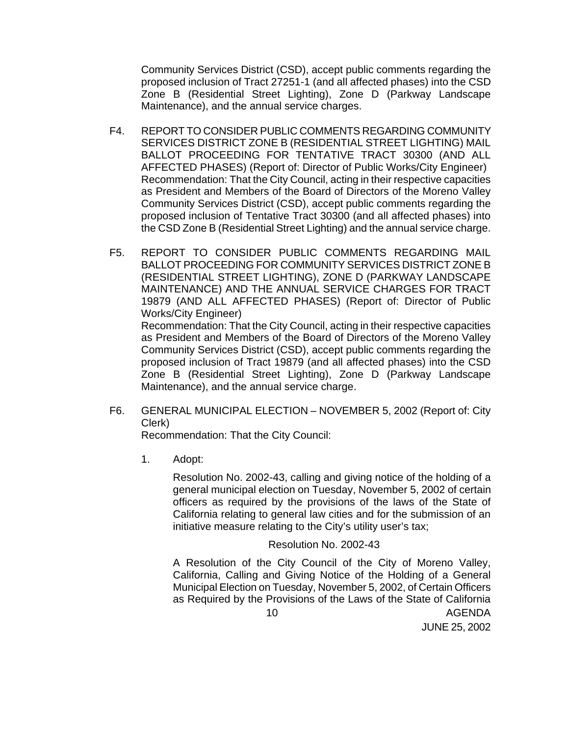Community Services District (CSD), accept public comments regarding the proposed inclusion of Tract 27251-1 (and all affected phases) into the CSD Zone B (Residential Street Lighting), Zone D (Parkway Landscape Maintenance), and the annual service charges.

- F4. REPORT TO CONSIDER PUBLIC COMMENTS REGARDING COMMUNITY SERVICES DISTRICT ZONE B (RESIDENTIAL STREET LIGHTING) MAIL BALLOT PROCEEDING FOR TENTATIVE TRACT 30300 (AND ALL AFFECTED PHASES) (Report of: Director of Public Works/City Engineer) Recommendation: That the City Council, acting in their respective capacities as President and Members of the Board of Directors of the Moreno Valley Community Services District (CSD), accept public comments regarding the proposed inclusion of Tentative Tract 30300 (and all affected phases) into the CSD Zone B (Residential Street Lighting) and the annual service charge.
- F5. REPORT TO CONSIDER PUBLIC COMMENTS REGARDING MAIL BALLOT PROCEEDING FOR COMMUNITY SERVICES DISTRICT ZONE B (RESIDENTIAL STREET LIGHTING), ZONE D (PARKWAY LANDSCAPE MAINTENANCE) AND THE ANNUAL SERVICE CHARGES FOR TRACT 19879 (AND ALL AFFECTED PHASES) (Report of: Director of Public Works/City Engineer) Recommendation: That the City Council, acting in their respective capacities as President and Members of the Board of Directors of the Moreno Valley Community Services District (CSD), accept public comments regarding the proposed inclusion of Tract 19879 (and all affected phases) into the CSD Zone B (Residential Street Lighting), Zone D (Parkway Landscape
- F6. GENERAL MUNICIPAL ELECTION NOVEMBER 5, 2002 (Report of: City Clerk)

Recommendation: That the City Council:

Maintenance), and the annual service charge.

1. Adopt:

Resolution No. 2002-43, calling and giving notice of the holding of a general municipal election on Tuesday, November 5, 2002 of certain officers as required by the provisions of the laws of the State of California relating to general law cities and for the submission of an initiative measure relating to the City's utility user's tax;

# Resolution No. 2002-43

 10 AGENDA A Resolution of the City Council of the City of Moreno Valley, California, Calling and Giving Notice of the Holding of a General Municipal Election on Tuesday, November 5, 2002, of Certain Officers as Required by the Provisions of the Laws of the State of California

JUNE 25, 2002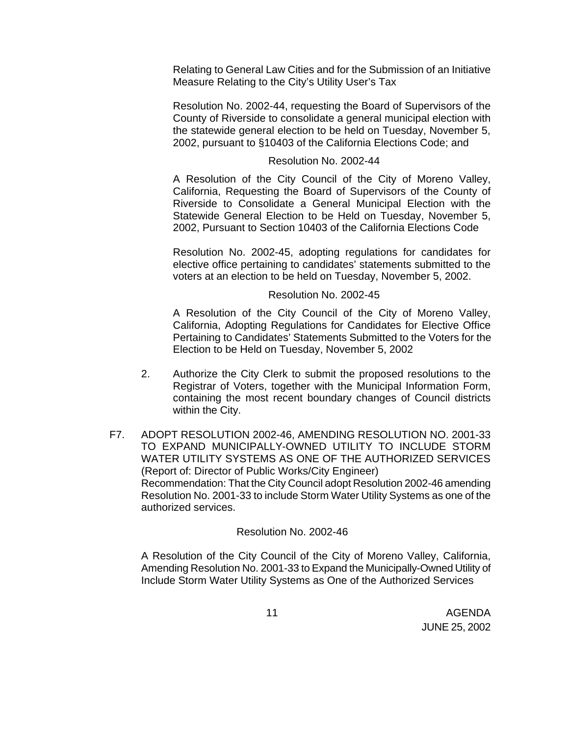Relating to General Law Cities and for the Submission of an Initiative Measure Relating to the City's Utility User's Tax

Resolution No. 2002-44, requesting the Board of Supervisors of the County of Riverside to consolidate a general municipal election with the statewide general election to be held on Tuesday, November 5, 2002, pursuant to §10403 of the California Elections Code; and

## Resolution No. 2002-44

A Resolution of the City Council of the City of Moreno Valley, California, Requesting the Board of Supervisors of the County of Riverside to Consolidate a General Municipal Election with the Statewide General Election to be Held on Tuesday, November 5, 2002, Pursuant to Section 10403 of the California Elections Code

Resolution No. 2002-45, adopting regulations for candidates for elective office pertaining to candidates' statements submitted to the voters at an election to be held on Tuesday, November 5, 2002.

#### Resolution No. 2002-45

A Resolution of the City Council of the City of Moreno Valley, California, Adopting Regulations for Candidates for Elective Office Pertaining to Candidates' Statements Submitted to the Voters for the Election to be Held on Tuesday, November 5, 2002

- 2. Authorize the City Clerk to submit the proposed resolutions to the Registrar of Voters, together with the Municipal Information Form, containing the most recent boundary changes of Council districts within the City.
- F7. ADOPT RESOLUTION 2002-46, AMENDING RESOLUTION NO. 2001-33 TO EXPAND MUNICIPALLY-OWNED UTILITY TO INCLUDE STORM WATER UTILITY SYSTEMS AS ONE OF THE AUTHORIZED SERVICES (Report of: Director of Public Works/City Engineer) Recommendation: That the City Council adopt Resolution 2002-46 amending Resolution No. 2001-33 to include Storm Water Utility Systems as one of the authorized services.

# Resolution No. 2002-46

A Resolution of the City Council of the City of Moreno Valley, California, Amending Resolution No. 2001-33 to Expand the Municipally-Owned Utility of Include Storm Water Utility Systems as One of the Authorized Services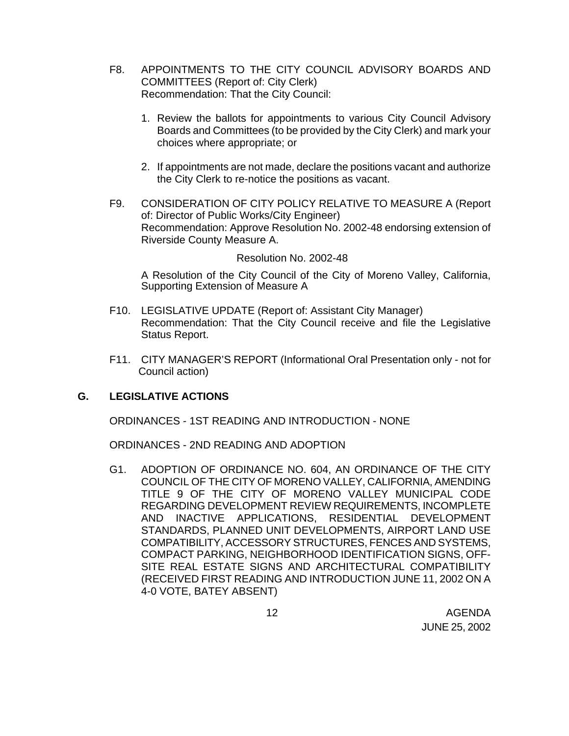- F8. APPOINTMENTS TO THE CITY COUNCIL ADVISORY BOARDS AND COMMITTEES (Report of: City Clerk) Recommendation: That the City Council:
	- 1. Review the ballots for appointments to various City Council Advisory Boards and Committees (to be provided by the City Clerk) and mark your choices where appropriate; or
	- 2. If appointments are not made, declare the positions vacant and authorize the City Clerk to re-notice the positions as vacant.
- F9. CONSIDERATION OF CITY POLICY RELATIVE TO MEASURE A (Report of: Director of Public Works/City Engineer) Recommendation: Approve Resolution No. 2002-48 endorsing extension of Riverside County Measure A.

#### Resolution No. 2002-48

A Resolution of the City Council of the City of Moreno Valley, California, Supporting Extension of Measure A

- F10. LEGISLATIVE UPDATE (Report of: Assistant City Manager) Recommendation: That the City Council receive and file the Legislative Status Report.
- F11. CITY MANAGER'S REPORT (Informational Oral Presentation only not for Council action)

#### **G. LEGISLATIVE ACTIONS**

ORDINANCES - 1ST READING AND INTRODUCTION - NONE

ORDINANCES - 2ND READING AND ADOPTION

G1. ADOPTION OF ORDINANCE NO. 604, AN ORDINANCE OF THE CITY COUNCIL OF THE CITY OF MORENO VALLEY, CALIFORNIA, AMENDING TITLE 9 OF THE CITY OF MORENO VALLEY MUNICIPAL CODE REGARDING DEVELOPMENT REVIEW REQUIREMENTS, INCOMPLETE AND INACTIVE APPLICATIONS, RESIDENTIAL DEVELOPMENT STANDARDS, PLANNED UNIT DEVELOPMENTS, AIRPORT LAND USE COMPATIBILITY, ACCESSORY STRUCTURES, FENCES AND SYSTEMS, COMPACT PARKING, NEIGHBORHOOD IDENTIFICATION SIGNS, OFF-SITE REAL ESTATE SIGNS AND ARCHITECTURAL COMPATIBILITY (RECEIVED FIRST READING AND INTRODUCTION JUNE 11, 2002 ON A 4-0 VOTE, BATEY ABSENT)

 12 AGENDA JUNE 25, 2002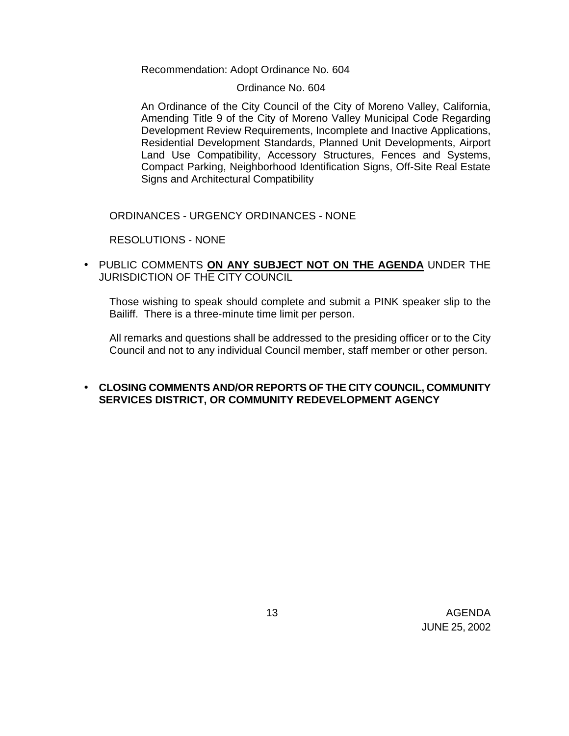Recommendation: Adopt Ordinance No. 604

## Ordinance No. 604

An Ordinance of the City Council of the City of Moreno Valley, California, Amending Title 9 of the City of Moreno Valley Municipal Code Regarding Development Review Requirements, Incomplete and Inactive Applications, Residential Development Standards, Planned Unit Developments, Airport Land Use Compatibility, Accessory Structures, Fences and Systems, Compact Parking, Neighborhood Identification Signs, Off-Site Real Estate Signs and Architectural Compatibility

ORDINANCES - URGENCY ORDINANCES - NONE

RESOLUTIONS - NONE

• PUBLIC COMMENTS **ON ANY SUBJECT NOT ON THE AGENDA** UNDER THE JURISDICTION OF THE CITY COUNCIL

Those wishing to speak should complete and submit a PINK speaker slip to the Bailiff. There is a three-minute time limit per person.

All remarks and questions shall be addressed to the presiding officer or to the City Council and not to any individual Council member, staff member or other person.

# • **CLOSING COMMENTS AND/OR REPORTS OF THE CITY COUNCIL, COMMUNITY SERVICES DISTRICT, OR COMMUNITY REDEVELOPMENT AGENCY**